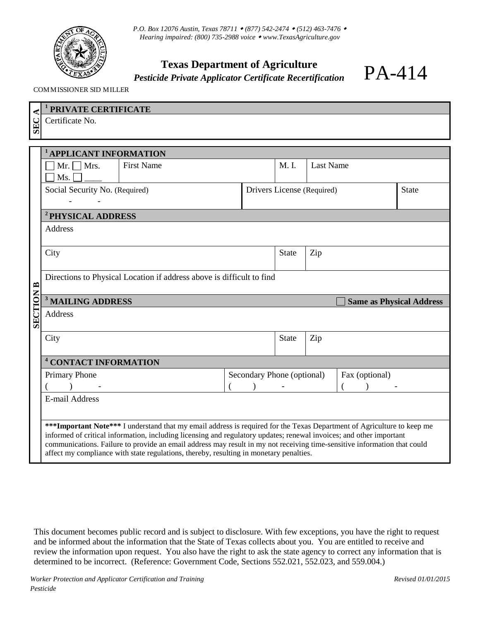

*P.O. Box 12076 Austin, Texas 78711 (877) 542-2474 (512) 463-7476 Hearing impaired: (800) 735-2988 voice [www.TexasAgriculture.gov](http://www.agr.state.tx.us/)*

## **Texas Department of Agriculture**

*Pesticide Private Applicator Certificate Recertification* 

PA-414

COMMISSIONER SID MILLER

| PRIVATE CERTIFICATE                                                                                                    |                                                                                                                                                                                            |  |              |                  |                                   |                                                                                                                                                                                                                                                                                                 |
|------------------------------------------------------------------------------------------------------------------------|--------------------------------------------------------------------------------------------------------------------------------------------------------------------------------------------|--|--------------|------------------|-----------------------------------|-------------------------------------------------------------------------------------------------------------------------------------------------------------------------------------------------------------------------------------------------------------------------------------------------|
| Certificate No.                                                                                                        |                                                                                                                                                                                            |  |              |                  |                                   |                                                                                                                                                                                                                                                                                                 |
|                                                                                                                        |                                                                                                                                                                                            |  |              |                  |                                   |                                                                                                                                                                                                                                                                                                 |
|                                                                                                                        |                                                                                                                                                                                            |  |              |                  |                                   |                                                                                                                                                                                                                                                                                                 |
|                                                                                                                        |                                                                                                                                                                                            |  | M. I.        | <b>Last Name</b> |                                   |                                                                                                                                                                                                                                                                                                 |
| Ms.                                                                                                                    |                                                                                                                                                                                            |  |              |                  |                                   |                                                                                                                                                                                                                                                                                                 |
| Social Security No. (Required)                                                                                         |                                                                                                                                                                                            |  | <b>State</b> |                  |                                   |                                                                                                                                                                                                                                                                                                 |
|                                                                                                                        |                                                                                                                                                                                            |  |              |                  |                                   |                                                                                                                                                                                                                                                                                                 |
| <sup>2</sup> PHYSICAL ADDRESS                                                                                          |                                                                                                                                                                                            |  |              |                  |                                   |                                                                                                                                                                                                                                                                                                 |
| <b>Address</b>                                                                                                         |                                                                                                                                                                                            |  |              |                  |                                   |                                                                                                                                                                                                                                                                                                 |
|                                                                                                                        |                                                                                                                                                                                            |  |              |                  |                                   |                                                                                                                                                                                                                                                                                                 |
|                                                                                                                        |                                                                                                                                                                                            |  |              |                  |                                   |                                                                                                                                                                                                                                                                                                 |
| Directions to Physical Location if address above is difficult to find                                                  |                                                                                                                                                                                            |  |              |                  |                                   |                                                                                                                                                                                                                                                                                                 |
|                                                                                                                        |                                                                                                                                                                                            |  |              |                  |                                   |                                                                                                                                                                                                                                                                                                 |
| <b>Same as Physical Address</b>                                                                                        |                                                                                                                                                                                            |  |              |                  |                                   |                                                                                                                                                                                                                                                                                                 |
| <b>SECTION</b><br>Address                                                                                              |                                                                                                                                                                                            |  |              |                  |                                   |                                                                                                                                                                                                                                                                                                 |
| City                                                                                                                   |                                                                                                                                                                                            |  | <b>State</b> | Zip              |                                   |                                                                                                                                                                                                                                                                                                 |
|                                                                                                                        |                                                                                                                                                                                            |  |              |                  |                                   |                                                                                                                                                                                                                                                                                                 |
|                                                                                                                        |                                                                                                                                                                                            |  |              |                  |                                   |                                                                                                                                                                                                                                                                                                 |
|                                                                                                                        |                                                                                                                                                                                            |  |              |                  |                                   |                                                                                                                                                                                                                                                                                                 |
|                                                                                                                        |                                                                                                                                                                                            |  |              |                  |                                   |                                                                                                                                                                                                                                                                                                 |
|                                                                                                                        |                                                                                                                                                                                            |  |              |                  |                                   |                                                                                                                                                                                                                                                                                                 |
| ***Important Note*** I understand that my email address is required for the Texas Department of Agriculture to keep me |                                                                                                                                                                                            |  |              |                  |                                   |                                                                                                                                                                                                                                                                                                 |
|                                                                                                                        |                                                                                                                                                                                            |  |              |                  |                                   |                                                                                                                                                                                                                                                                                                 |
| affect my compliance with state regulations, thereby, resulting in monetary penalties.                                 |                                                                                                                                                                                            |  |              |                  |                                   |                                                                                                                                                                                                                                                                                                 |
|                                                                                                                        | <b>APPLICANT INFORMATION</b><br><b>First Name</b><br>$Mr. \Box Mrs.$<br>City<br><sup>3</sup> MAILING ADDRESS<br><sup>4</sup> CONTACT INFORMATION<br>Primary Phone<br><b>E-mail Address</b> |  |              | <b>State</b>     | Zip<br>Secondary Phone (optional) | Drivers License (Required)<br>Fax (optional)<br>informed of critical information, including licensing and regulatory updates; renewal invoices; and other important<br>communications. Failure to provide an email address may result in my not receiving time-sensitive information that could |

This document becomes public record and is subject to disclosure. With few exceptions, you have the right to request and be informed about the information that the State of Texas collects about you. You are entitled to receive and review the information upon request. You also have the right to ask the state agency to correct any information that is determined to be incorrect. (Reference: Government Code, Sections 552.021, 552.023, and 559.004.)